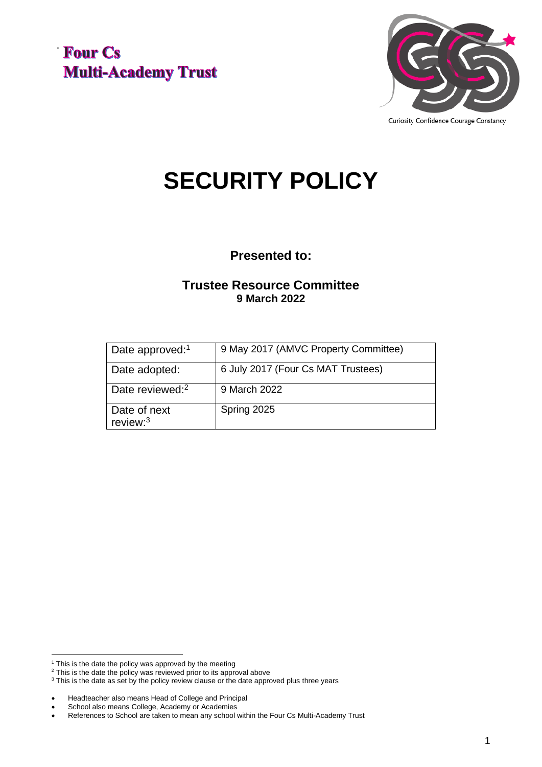



Curiosity Confidence Courage Constancy

# **SECURITY POLICY**

**Presented to:**

#### **Trustee Resource Committee 9 March 2022**

| Date approved: <sup>1</sup> | 9 May 2017 (AMVC Property Committee) |
|-----------------------------|--------------------------------------|
| Date adopted:               | 6 July 2017 (Four Cs MAT Trustees)   |
| Date reviewed: <sup>2</sup> | 9 March 2022                         |
| Date of next<br>review: $3$ | Spring 2025                          |

 $1$  This is the date the policy was approved by the meeting

<sup>&</sup>lt;sup>2</sup> This is the date the policy was reviewed prior to its approval above

<sup>&</sup>lt;sup>3</sup> This is the date as set by the policy review clause or the date approved plus three years

<sup>•</sup> Headteacher also means Head of College and Principal

<sup>•</sup> School also means College, Academy or Academies

<sup>•</sup> References to School are taken to mean any school within the Four Cs Multi-Academy Trust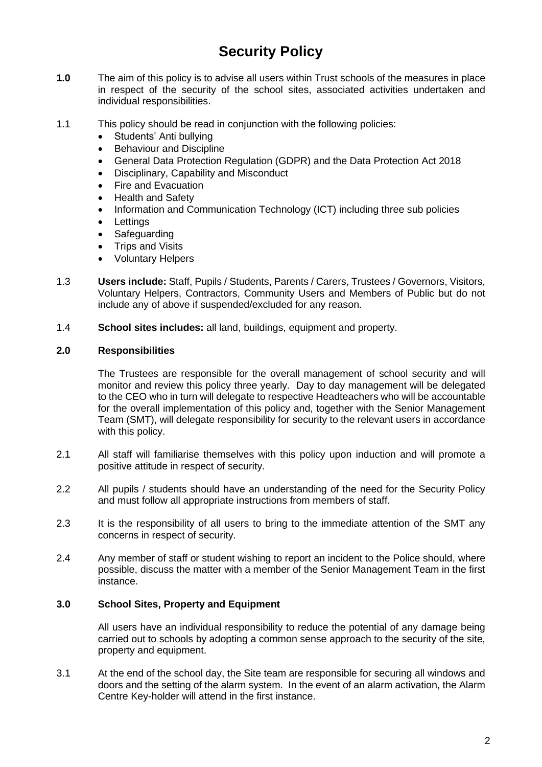### **Security Policy**

- **1.0** The aim of this policy is to advise all users within Trust schools of the measures in place in respect of the security of the school sites, associated activities undertaken and individual responsibilities.
- 1.1 This policy should be read in conjunction with the following policies:
	- Students' Anti bullying
	- Behaviour and Discipline
	- General Data Protection Regulation (GDPR) and the Data Protection Act 2018
	- Disciplinary, Capability and Misconduct
	- Fire and Evacuation
	- Health and Safety
	- Information and Communication Technology (ICT) including three sub policies
	- **Lettings**
	- **Safeguarding**
	- **Trips and Visits**
	- Voluntary Helpers
- 1.3 **Users include:** Staff, Pupils / Students, Parents / Carers, Trustees / Governors, Visitors, Voluntary Helpers, Contractors, Community Users and Members of Public but do not include any of above if suspended/excluded for any reason.
- 1.4 **School sites includes:** all land, buildings, equipment and property.

#### **2.0 Responsibilities**

The Trustees are responsible for the overall management of school security and will monitor and review this policy three yearly. Day to day management will be delegated to the CEO who in turn will delegate to respective Headteachers who will be accountable for the overall implementation of this policy and, together with the Senior Management Team (SMT), will delegate responsibility for security to the relevant users in accordance with this policy.

- 2.1 All staff will familiarise themselves with this policy upon induction and will promote a positive attitude in respect of security.
- 2.2 All pupils / students should have an understanding of the need for the Security Policy and must follow all appropriate instructions from members of staff.
- 2.3 It is the responsibility of all users to bring to the immediate attention of the SMT any concerns in respect of security.
- 2.4 Any member of staff or student wishing to report an incident to the Police should, where possible, discuss the matter with a member of the Senior Management Team in the first instance.

#### **3.0 School Sites, Property and Equipment**

All users have an individual responsibility to reduce the potential of any damage being carried out to schools by adopting a common sense approach to the security of the site, property and equipment.

3.1 At the end of the school day, the Site team are responsible for securing all windows and doors and the setting of the alarm system. In the event of an alarm activation, the Alarm Centre Key-holder will attend in the first instance.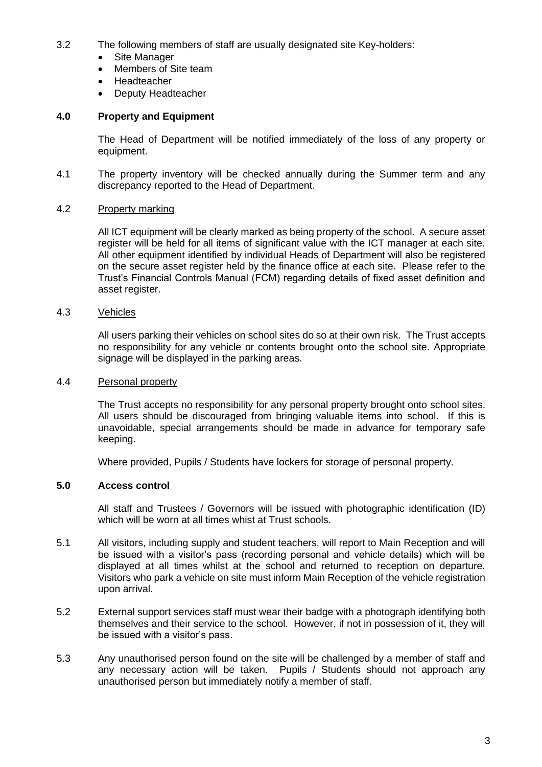- 3.2 The following members of staff are usually designated site Key-holders:
	- Site Manager
	- Members of Site team
	- **Headteacher**
	- Deputy Headteacher

#### **4.0 Property and Equipment**

The Head of Department will be notified immediately of the loss of any property or equipment.

4.1 The property inventory will be checked annually during the Summer term and any discrepancy reported to the Head of Department.

#### 4.2 Property marking

All ICT equipment will be clearly marked as being property of the school. A secure asset register will be held for all items of significant value with the ICT manager at each site. All other equipment identified by individual Heads of Department will also be registered on the secure asset register held by the finance office at each site. Please refer to the Trust's Financial Controls Manual (FCM) regarding details of fixed asset definition and asset register.

#### 4.3 Vehicles

All users parking their vehicles on school sites do so at their own risk. The Trust accepts no responsibility for any vehicle or contents brought onto the school site. Appropriate signage will be displayed in the parking areas.

#### 4.4 Personal property

The Trust accepts no responsibility for any personal property brought onto school sites. All users should be discouraged from bringing valuable items into school. If this is unavoidable, special arrangements should be made in advance for temporary safe keeping.

Where provided, Pupils / Students have lockers for storage of personal property.

#### **5.0 Access control**

All staff and Trustees / Governors will be issued with photographic identification (ID) which will be worn at all times whist at Trust schools.

- 5.1 All visitors, including supply and student teachers, will report to Main Reception and will be issued with a visitor's pass (recording personal and vehicle details) which will be displayed at all times whilst at the school and returned to reception on departure. Visitors who park a vehicle on site must inform Main Reception of the vehicle registration upon arrival.
- 5.2 External support services staff must wear their badge with a photograph identifying both themselves and their service to the school. However, if not in possession of it, they will be issued with a visitor's pass.
- 5.3 Any unauthorised person found on the site will be challenged by a member of staff and any necessary action will be taken. Pupils / Students should not approach any unauthorised person but immediately notify a member of staff.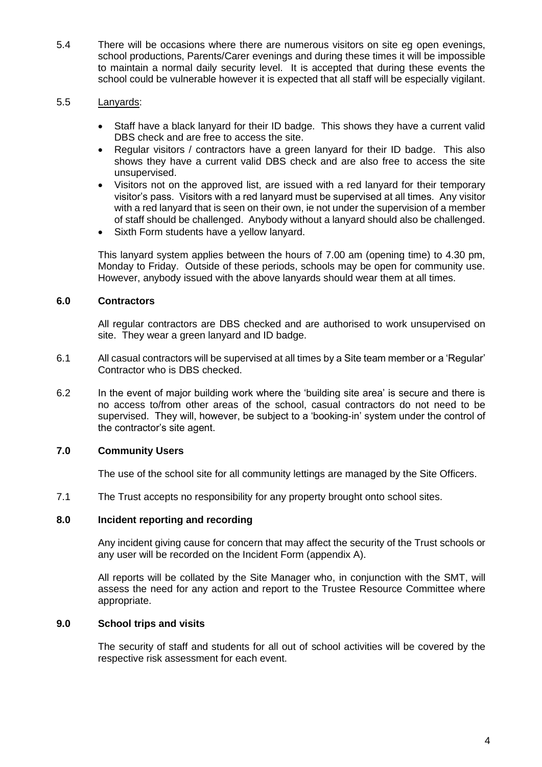5.4 There will be occasions where there are numerous visitors on site eg open evenings, school productions, Parents/Carer evenings and during these times it will be impossible to maintain a normal daily security level. It is accepted that during these events the school could be vulnerable however it is expected that all staff will be especially vigilant.

#### 5.5 Lanyards:

- Staff have a black lanyard for their ID badge. This shows they have a current valid DBS check and are free to access the site.
- Regular visitors / contractors have a green lanyard for their ID badge. This also shows they have a current valid DBS check and are also free to access the site unsupervised.
- Visitors not on the approved list, are issued with a red lanyard for their temporary visitor's pass. Visitors with a red lanyard must be supervised at all times. Any visitor with a red lanyard that is seen on their own, ie not under the supervision of a member of staff should be challenged. Anybody without a lanyard should also be challenged.
- Sixth Form students have a yellow lanyard.

This lanyard system applies between the hours of 7.00 am (opening time) to 4.30 pm, Monday to Friday. Outside of these periods, schools may be open for community use. However, anybody issued with the above lanyards should wear them at all times.

#### **6.0 Contractors**

All regular contractors are DBS checked and are authorised to work unsupervised on site. They wear a green lanyard and ID badge.

- 6.1 All casual contractors will be supervised at all times by a Site team member or a 'Regular' Contractor who is DBS checked.
- 6.2 In the event of major building work where the 'building site area' is secure and there is no access to/from other areas of the school, casual contractors do not need to be supervised. They will, however, be subject to a 'booking-in' system under the control of the contractor's site agent.

#### **7.0 Community Users**

The use of the school site for all community lettings are managed by the Site Officers.

7.1 The Trust accepts no responsibility for any property brought onto school sites.

#### **8.0 Incident reporting and recording**

Any incident giving cause for concern that may affect the security of the Trust schools or any user will be recorded on the Incident Form (appendix A).

All reports will be collated by the Site Manager who, in conjunction with the SMT, will assess the need for any action and report to the Trustee Resource Committee where appropriate.

#### **9.0 School trips and visits**

The security of staff and students for all out of school activities will be covered by the respective risk assessment for each event.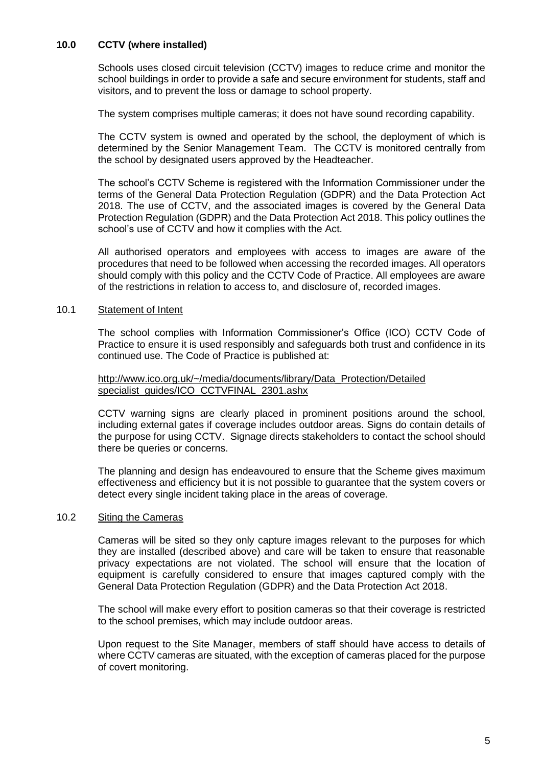#### **10.0 CCTV (where installed)**

Schools uses closed circuit television (CCTV) images to reduce crime and monitor the school buildings in order to provide a safe and secure environment for students, staff and visitors, and to prevent the loss or damage to school property.

The system comprises multiple cameras; it does not have sound recording capability.

The CCTV system is owned and operated by the school, the deployment of which is determined by the Senior Management Team. The CCTV is monitored centrally from the school by designated users approved by the Headteacher.

The school's CCTV Scheme is registered with the Information Commissioner under the terms of the General Data Protection Regulation (GDPR) and the Data Protection Act 2018. The use of CCTV, and the associated images is covered by the General Data Protection Regulation (GDPR) and the Data Protection Act 2018. This policy outlines the school's use of CCTV and how it complies with the Act.

All authorised operators and employees with access to images are aware of the procedures that need to be followed when accessing the recorded images. All operators should comply with this policy and the CCTV Code of Practice. All employees are aware of the restrictions in relation to access to, and disclosure of, recorded images.

#### 10.1 Statement of Intent

The school complies with Information Commissioner's Office (ICO) CCTV Code of Practice to ensure it is used responsibly and safeguards both trust and confidence in its continued use. The Code of Practice is published at:

#### [http://www.ico.org.uk/~/media/documents/library/Data\\_Protection/Detailed](http://www.ico.org.uk/~/media/documents/library/Data_Protection/Detailed%20specialist_guides/ICO_CCTVFINAL_2301.ashx)  [specialist\\_guides/ICO\\_CCTVFINAL\\_2301.ashx](http://www.ico.org.uk/~/media/documents/library/Data_Protection/Detailed%20specialist_guides/ICO_CCTVFINAL_2301.ashx)

CCTV warning signs are clearly placed in prominent positions around the school, including external gates if coverage includes outdoor areas. Signs do contain details of the purpose for using CCTV. Signage directs stakeholders to contact the school should there be queries or concerns.

The planning and design has endeavoured to ensure that the Scheme gives maximum effectiveness and efficiency but it is not possible to guarantee that the system covers or detect every single incident taking place in the areas of coverage.

#### 10.2 Siting the Cameras

Cameras will be sited so they only capture images relevant to the purposes for which they are installed (described above) and care will be taken to ensure that reasonable privacy expectations are not violated. The school will ensure that the location of equipment is carefully considered to ensure that images captured comply with the General Data Protection Regulation (GDPR) and the Data Protection Act 2018.

The school will make every effort to position cameras so that their coverage is restricted to the school premises, which may include outdoor areas.

Upon request to the Site Manager, members of staff should have access to details of where CCTV cameras are situated, with the exception of cameras placed for the purpose of covert monitoring.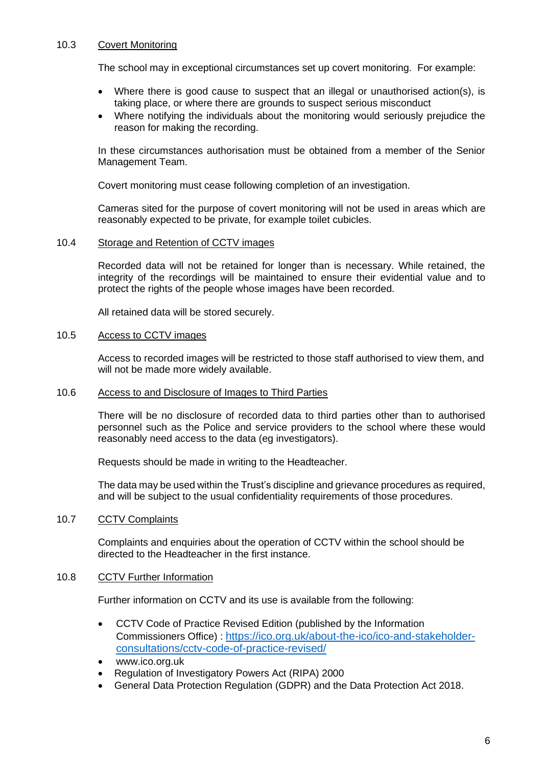#### 10.3 Covert Monitoring

The school may in exceptional circumstances set up covert monitoring. For example:

- Where there is good cause to suspect that an illegal or unauthorised action(s), is taking place, or where there are grounds to suspect serious misconduct
- Where notifying the individuals about the monitoring would seriously prejudice the reason for making the recording.

In these circumstances authorisation must be obtained from a member of the Senior Management Team.

Covert monitoring must cease following completion of an investigation.

Cameras sited for the purpose of covert monitoring will not be used in areas which are reasonably expected to be private, for example toilet cubicles.

#### 10.4 Storage and Retention of CCTV images

Recorded data will not be retained for longer than is necessary. While retained, the integrity of the recordings will be maintained to ensure their evidential value and to protect the rights of the people whose images have been recorded.

All retained data will be stored securely.

#### 10.5 Access to CCTV images

Access to recorded images will be restricted to those staff authorised to view them, and will not be made more widely available.

#### 10.6 Access to and Disclosure of Images to Third Parties

There will be no disclosure of recorded data to third parties other than to authorised personnel such as the Police and service providers to the school where these would reasonably need access to the data (eg investigators).

Requests should be made in writing to the Headteacher.

The data may be used within the Trust's discipline and grievance procedures as required, and will be subject to the usual confidentiality requirements of those procedures.

#### 10.7 CCTV Complaints

Complaints and enquiries about the operation of CCTV within the school should be directed to the Headteacher in the first instance.

#### 10.8 CCTV Further Information

Further information on CCTV and its use is available from the following:

- CCTV Code of Practice Revised Edition (published by the Information Commissioners Office) : [https://ico.org.uk/about-the-ico/ico-and-stakeholder](https://ico.org.uk/about-the-ico/ico-and-stakeholder-consultations/cctv-code-of-practice-revised/)[consultations/cctv-code-of-practice-revised/](https://ico.org.uk/about-the-ico/ico-and-stakeholder-consultations/cctv-code-of-practice-revised/)
- www.ico.org.uk
- Regulation of Investigatory Powers Act (RIPA) 2000
- General Data Protection Regulation (GDPR) and the Data Protection Act 2018.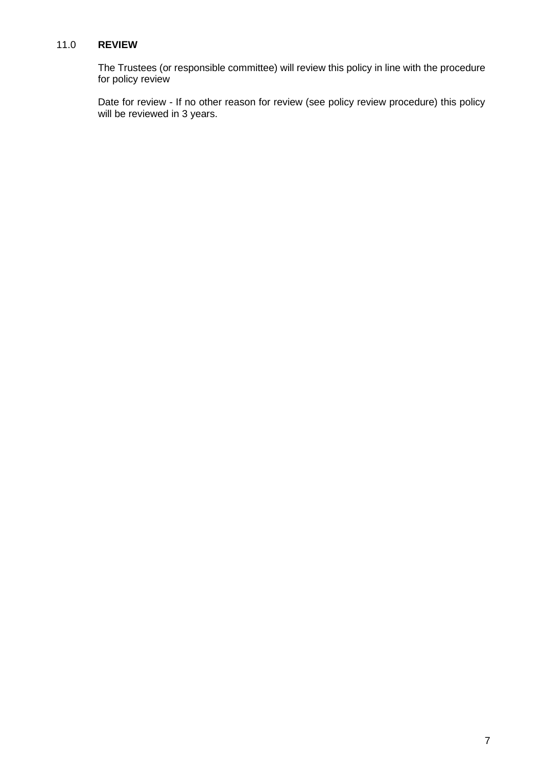#### 11.0 **REVIEW**

The Trustees (or responsible committee) will review this policy in line with the procedure for policy review

Date for review - If no other reason for review (see policy review procedure) this policy will be reviewed in 3 years.